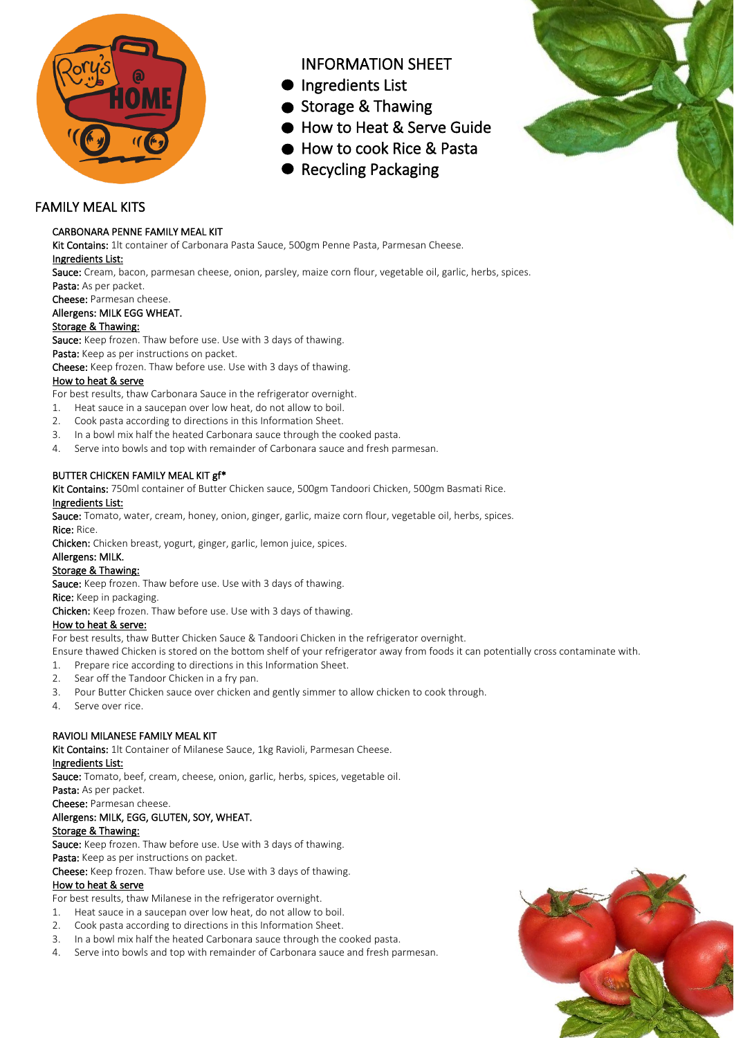

# INFORMATION SHEET

- Ingredients List
- Storage & Thawing
- How to Heat & Serve Guide
- How to cook Rice & Pasta
- **Recycling Packaging**



# FAMILY MEAL KITS

# CARBONARA PENNE FAMILY MEAL KIT

Kit Contains: 1lt container of Carbonara Pasta Sauce, 500gm Penne Pasta, Parmesan Cheese. Ingredients List:

Sauce: Cream, bacon, parmesan cheese, onion, parsley, maize corn flour, vegetable oil, garlic, herbs, spices. Pasta: As per packet.

Cheese: Parmesan cheese.

# Allergens: MILK EGG WHEAT.

# Storage & Thawing:

Sauce: Keep frozen. Thaw before use. Use with 3 days of thawing.

Pasta: Keep as per instructions on packet.

Cheese: Keep frozen. Thaw before use. Use with 3 days of thawing.

# How to heat & serve

For best results, thaw Carbonara Sauce in the refrigerator overnight.

- 1. Heat sauce in a saucepan over low heat, do not allow to boil.
- 2. Cook pasta according to directions in this Information Sheet.
- 3. In a bowl mix half the heated Carbonara sauce through the cooked pasta.
- 4. Serve into bowls and top with remainder of Carbonara sauce and fresh parmesan.

# BUTTER CHICKEN FAMILY MEAL KIT gf\*

Kit Contains: 750ml container of Butter Chicken sauce, 500gm Tandoori Chicken, 500gm Basmati Rice.

#### Ingredients List:

Sauce: Tomato, water, cream, honey, onion, ginger, garlic, maize corn flour, vegetable oil, herbs, spices. Rice: Rice.

Chicken: Chicken breast, yogurt, ginger, garlic, lemon juice, spices.

Allergens: MILK.

# Storage & Thawing:

Sauce: Keep frozen. Thaw before use. Use with 3 days of thawing. Rice: Keep in packaging.

Chicken: Keep frozen. Thaw before use. Use with 3 days of thawing.

# How to heat & serve:

For best results, thaw Butter Chicken Sauce & Tandoori Chicken in the refrigerator overnight.

Ensure thawed Chicken is stored on the bottom shelf of your refrigerator away from foods it can potentially cross contaminate with.

1. Prepare rice according to directions in this Information Sheet.

- 2. Sear off the Tandoor Chicken in a fry pan.
- 3. Pour Butter Chicken sauce over chicken and gently simmer to allow chicken to cook through.
- 4. Serve over rice.

# RAVIOLI MILANESE FAMILY MEAL KIT

Kit Contains: 1lt Container of Milanese Sauce, 1kg Ravioli, Parmesan Cheese.

# Ingredients List:

Sauce: Tomato, beef, cream, cheese, onion, garlic, herbs, spices, vegetable oil.

Pasta: As per packet.

Cheese: Parmesan cheese.

# Allergens: MILK, EGG, GLUTEN, SOY, WHEAT.

# Storage & Thawing:

Sauce: Keep frozen. Thaw before use. Use with 3 days of thawing.

#### Pasta: Keep as per instructions on packet.

Cheese: Keep frozen. Thaw before use. Use with 3 days of thawing.

# How to heat & serve

For best results, thaw Milanese in the refrigerator overnight.

- 1. Heat sauce in a saucepan over low heat, do not allow to boil.
- 2. Cook pasta according to directions in this Information Sheet.
- 3. In a bowl mix half the heated Carbonara sauce through the cooked pasta.
- 4. Serve into bowls and top with remainder of Carbonara sauce and fresh parmesan.

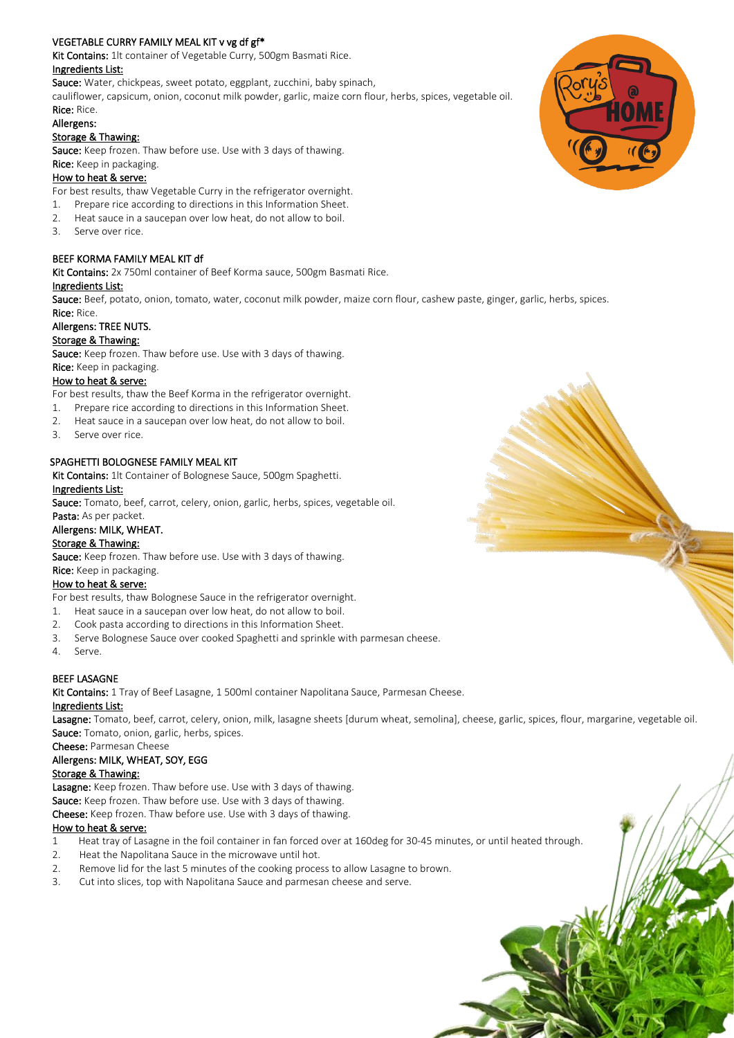# VEGETABLE CURRY FAMILY MEAL KIT v vg df gf\*

Kit Contains: 1lt container of Vegetable Curry, 500gm Basmati Rice.

### Ingredients List:

Sauce: Water, chickpeas, sweet potato, eggplant, zucchini, baby spinach,

cauliflower, capsicum, onion, coconut milk powder, garlic, maize corn flour, herbs, spices, vegetable oil.

#### Rice: Rice. Allergens:

# Storage & Thawing:

Sauce: Keep frozen. Thaw before use. Use with 3 days of thawing. Rice: Keep in packaging.

# How to heat & serve:

For best results, thaw Vegetable Curry in the refrigerator overnight.

- 1. Prepare rice according to directions in this Information Sheet.
- 2. Heat sauce in a saucepan over low heat, do not allow to boil.
- 3. Serve over rice.

# BEEF KORMA FAMILY MEAL KIT df

Kit Contains: 2x 750ml container of Beef Korma sauce, 500gm Basmati Rice.

#### Ingredients List:

Sauce: Beef, potato, onion, tomato, water, coconut milk powder, maize corn flour, cashew paste, ginger, garlic, herbs, spices. Rice: Rice.

# Allergens: TREE NUTS.

# Storage & Thawing:

Sauce: Keep frozen. Thaw before use. Use with 3 days of thawing.

### Rice: Keep in packaging.

# How to heat & serve:

For best results, thaw the Beef Korma in the refrigerator overnight.

- 1. Prepare rice according to directions in this Information Sheet.
- 2. Heat sauce in a saucepan over low heat, do not allow to boil.
- 3. Serve over rice.

# SPAGHETTI BOLOGNESE FAMILY MEAL KIT

Kit Contains: 1lt Container of Bolognese Sauce, 500gm Spaghetti.

# Ingredients List:

Sauce: Tomato, beef, carrot, celery, onion, garlic, herbs, spices, vegetable oil.

#### Pasta: As per packet. Allergens: MILK, WHEAT.

# Storage & Thawing:

Sauce: Keep frozen. Thaw before use. Use with 3 days of thawing.

Rice: Keep in packaging.

# How to heat & serve:

For best results, thaw Bolognese Sauce in the refrigerator overnight.

- 1. Heat sauce in a saucepan over low heat, do not allow to boil.
- 2. Cook pasta according to directions in this Information Sheet.
- 3. Serve Bolognese Sauce over cooked Spaghetti and sprinkle with parmesan cheese.
- 4. Serve.

# BEEF LASAGNE

Kit Contains: 1 Tray of Beef Lasagne, 1 500ml container Napolitana Sauce, Parmesan Cheese.

#### Ingredients List:

Lasagne: Tomato, beef, carrot, celery, onion, milk, lasagne sheets [durum wheat, semolina], cheese, garlic, spices, flour, margarine, vegetable oil. Sauce: Tomato, onion, garlic, herbs, spices.

Cheese: Parmesan Cheese

# Allergens: MILK, WHEAT, SOY, EGG

#### Storage & Thawing:

Lasagne: Keep frozen. Thaw before use. Use with 3 days of thawing.

Sauce: Keep frozen. Thaw before use. Use with 3 days of thawing.

Cheese: Keep frozen. Thaw before use. Use with 3 days of thawing.

# How to heat & serve:

- 1 Heat tray of Lasagne in the foil container in fan forced over at 160deg for 30-45 minutes, or until heated through.
- 2. Heat the Napolitana Sauce in the microwave until hot.
- 2. Remove lid for the last 5 minutes of the cooking process to allow Lasagne to brown.
- 3. Cut into slices, top with Napolitana Sauce and parmesan cheese and serve.

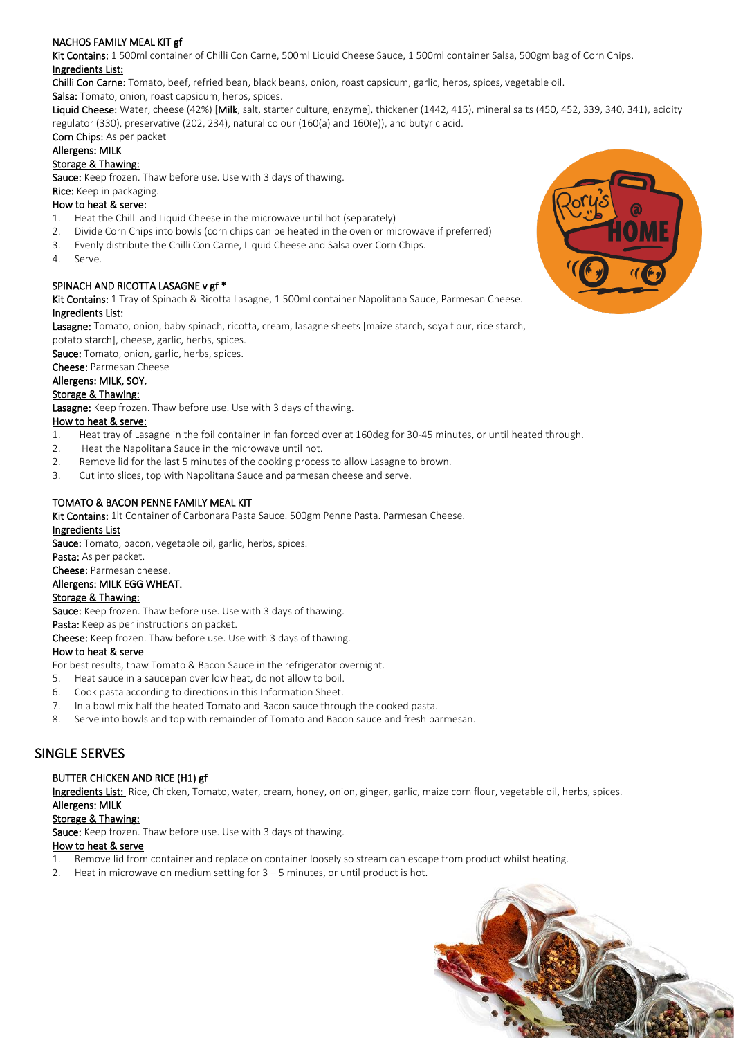# NACHOS FAMILY MEAL KIT gf

Kit Contains: 1 500ml container of Chilli Con Carne, 500ml Liquid Cheese Sauce, 1 500ml container Salsa, 500gm bag of Corn Chips. Ingredients List:

Chilli Con Carne: Tomato, beef, refried bean, black beans, onion, roast capsicum, garlic, herbs, spices, vegetable oil.

Salsa: Tomato, onion, roast capsicum, herbs, spices.

Liquid Cheese: Water, cheese (42%) [Milk, salt, starter culture, enzyme], thickener (1442, 415), mineral salts (450, 452, 339, 340, 341), acidity regulator (330), preservative (202, 234), natural colour (160(a) and 160(e)), and butyric acid.

# Corn Chips: As per packet

# Allergens: MILK

# Storage & Thawing:

Sauce: Keep frozen. Thaw before use. Use with 3 days of thawing.

### Rice: Keep in packaging.

# How to heat & serve:

- 1. Heat the Chilli and Liquid Cheese in the microwave until hot (separately)
- 2. Divide Corn Chips into bowls (corn chips can be heated in the oven or microwave if preferred)
- 3. Evenly distribute the Chilli Con Carne, Liquid Cheese and Salsa over Corn Chips.
- 4. Serve.

# SPINACH AND RICOTTA LASAGNE v gf \*

Kit Contains: 1 Tray of Spinach & Ricotta Lasagne, 1 500ml container Napolitana Sauce, Parmesan Cheese. Ingredients List:

Lasagne: Tomato, onion, baby spinach, ricotta, cream, lasagne sheets [maize starch, soya flour, rice starch, potato starch], cheese, garlic, herbs, spices.

Sauce: Tomato, onion, garlic, herbs, spices.

Cheese: Parmesan Cheese

#### Allergens: MILK, SOY.

#### Storage & Thawing:

Lasagne: Keep frozen. Thaw before use. Use with 3 days of thawing.

### How to heat & serve:

- 1. Heat tray of Lasagne in the foil container in fan forced over at 160deg for 30-45 minutes, or until heated through.
- 2. Heat the Napolitana Sauce in the microwave until hot.
- 2. Remove lid for the last 5 minutes of the cooking process to allow Lasagne to brown.
- 3. Cut into slices, top with Napolitana Sauce and parmesan cheese and serve.

# TOMATO & BACON PENNE FAMILY MEAL KIT

Kit Contains: 1lt Container of Carbonara Pasta Sauce. 500gm Penne Pasta. Parmesan Cheese.

# Ingredients List

Sauce: Tomato, bacon, vegetable oil, garlic, herbs, spices.

#### Pasta: As per packet.

Cheese: Parmesan cheese.

#### Allergens: MILK EGG WHEAT.

# Storage & Thawing:

Sauce: Keep frozen. Thaw before use. Use with 3 days of thawing.

# Pasta: Keep as per instructions on packet.

Cheese: Keep frozen. Thaw before use. Use with 3 days of thawing.

# How to heat & serve

For best results, thaw Tomato & Bacon Sauce in the refrigerator overnight.

- 5. Heat sauce in a saucepan over low heat, do not allow to boil.
- 6. Cook pasta according to directions in this Information Sheet.
- 7. In a bowl mix half the heated Tomato and Bacon sauce through the cooked pasta.
- 8. Serve into bowls and top with remainder of Tomato and Bacon sauce and fresh parmesan.

# SINGLE SERVES

# BUTTER CHICKEN AND RICE (H1) gf

Ingredients List: Rice, Chicken, Tomato, water, cream, honey, onion, ginger, garlic, maize corn flour, vegetable oil, herbs, spices. Allergens: MILK

# Storage & Thawing:

Sauce: Keep frozen. Thaw before use. Use with 3 days of thawing.

#### How to heat & serve

1. Remove lid from container and replace on container loosely so stream can escape from product whilst heating.

2. Heat in microwave on medium setting for 3 – 5 minutes, or until product is hot.



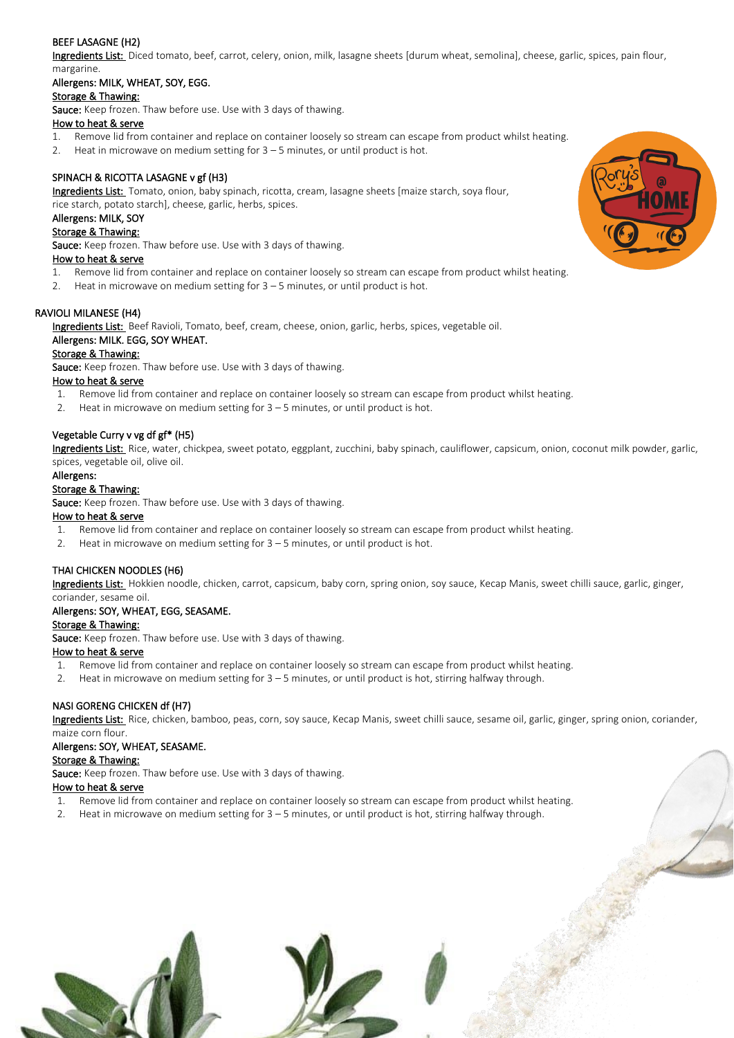# BEEF LASAGNE (H2)

Ingredients List: Diced tomato, beef, carrot, celery, onion, milk, lasagne sheets [durum wheat, semolina], cheese, garlic, spices, pain flour, margarine.

### Allergens: MILK, WHEAT, SOY, EGG.

### Storage & Thawing:

Sauce: Keep frozen. Thaw before use. Use with 3 days of thawing.

#### How to heat & serve

- 1. Remove lid from container and replace on container loosely so stream can escape from product whilst heating.
- 2. Heat in microwave on medium setting for 3 5 minutes, or until product is hot.

# SPINACH & RICOTTA LASAGNE v gf (H3)

Ingredients List: Tomato, onion, baby spinach, ricotta, cream, lasagne sheets [maize starch, soya flour, rice starch, potato starch], cheese, garlic, herbs, spices.

#### Allergens: MILK, SOY

#### Storage & Thawing:

Sauce: Keep frozen. Thaw before use. Use with 3 days of thawing.

#### How to heat & serve

- 1. Remove lid from container and replace on container loosely so stream can escape from product whilst heating.
- 2. Heat in microwave on medium setting for 3 5 minutes, or until product is hot.

#### RAVIOLI MILANESE (H4)

Ingredients List: Beef Ravioli, Tomato, beef, cream, cheese, onion, garlic, herbs, spices, vegetable oil.

#### Allergens: MILK. EGG, SOY WHEAT.

# Storage & Thawing:

Sauce: Keep frozen. Thaw before use. Use with 3 days of thawing.

#### How to heat & serve

- 1. Remove lid from container and replace on container loosely so stream can escape from product whilst heating.
- 2. Heat in microwave on medium setting for 3 5 minutes, or until product is hot.

#### Vegetable Curry v vg df gf\* (H5)

Ingredients List: Rice, water, chickpea, sweet potato, eggplant, zucchini, baby spinach, cauliflower, capsicum, onion, coconut milk powder, garlic, spices, vegetable oil, olive oil.

#### Allergens:

#### Storage & Thawing:

Sauce: Keep frozen. Thaw before use. Use with 3 days of thawing.

#### How to heat & serve

- 1. Remove lid from container and replace on container loosely so stream can escape from product whilst heating.
- 2. Heat in microwave on medium setting for  $3 5$  minutes, or until product is hot.

# THAI CHICKEN NOODLES (H6)

Ingredients List: Hokkien noodle, chicken, carrot, capsicum, baby corn, spring onion, soy sauce, Kecap Manis, sweet chilli sauce, garlic, ginger, coriander, sesame oil.

# Allergens: SOY, WHEAT, EGG, SEASAME.

# Storage & Thawing:

Sauce: Keep frozen. Thaw before use. Use with 3 days of thawing.

#### How to heat & serve

- 1. Remove lid from container and replace on container loosely so stream can escape from product whilst heating.
- 2. Heat in microwave on medium setting for 3 5 minutes, or until product is hot, stirring halfway through.

# NASI GORENG CHICKEN df (H7)

Ingredients List: Rice, chicken, bamboo, peas, corn, soy sauce, Kecap Manis, sweet chilli sauce, sesame oil, garlic, ginger, spring onion, coriander, maize corn flour.

#### Allergens: SOY, WHEAT, SEASAME.

#### Storage & Thawing:

Sauce: Keep frozen. Thaw before use. Use with 3 days of thawing.

#### How to heat & serve

- 1. Remove lid from container and replace on container loosely so stream can escape from product whilst heating.
- 2. Heat in microwave on medium setting for 3 5 minutes, or until product is hot, stirring halfway through.